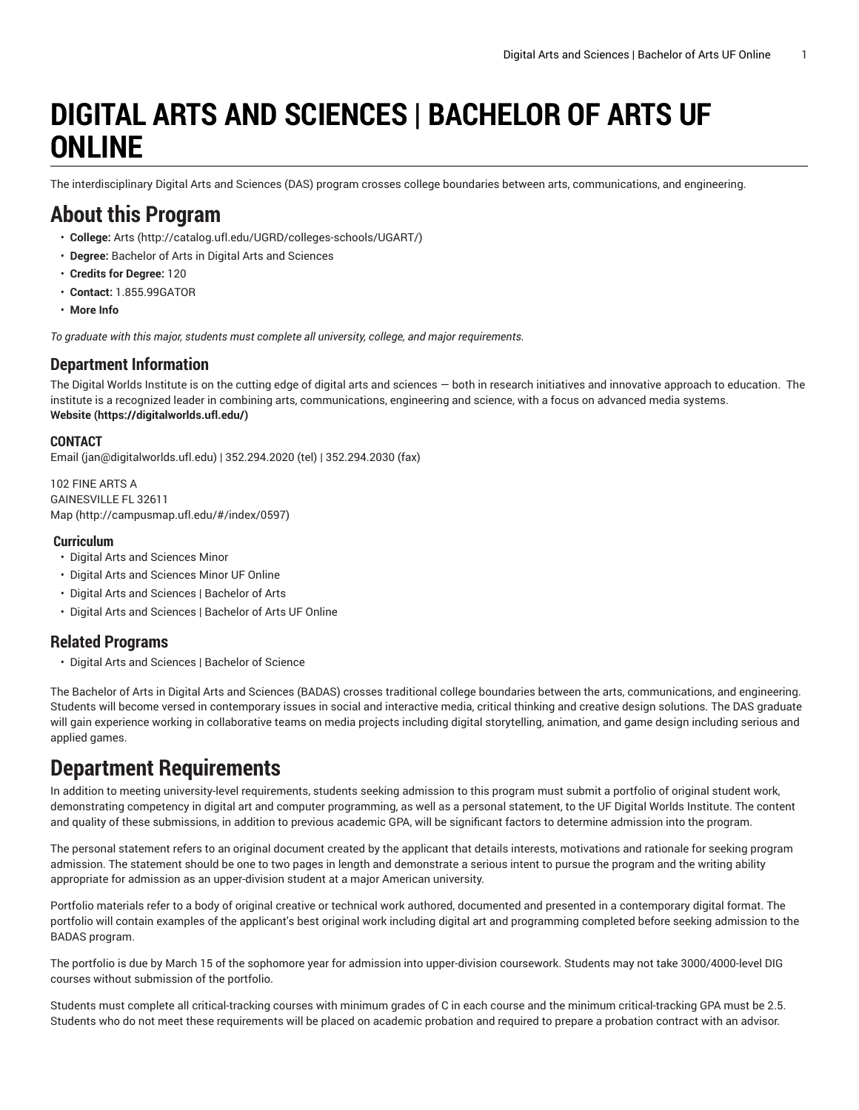# **DIGITAL ARTS AND SCIENCES | BACHELOR OF ARTS UF ONLINE**

The interdisciplinary Digital Arts and Sciences (DAS) program crosses college boundaries between arts, communications, and engineering.

# **About this Program**

- **College:** [Arts](http://catalog.ufl.edu/UGRD/colleges-schools/UGART/) ([http://catalog.ufl.edu/UGRD/colleges-schools/UGART/\)](http://catalog.ufl.edu/UGRD/colleges-schools/UGART/)
- **Degree:** Bachelor of Arts in Digital Arts and Sciences
- **Credits for Degree:** 120
- **Contact:** 1.855.99GATOR
- **More Info**

*To graduate with this major, students must complete all university, college, and major requirements.*

#### **Department Information**

The Digital Worlds Institute is on the cutting edge of digital arts and sciences — both in research initiatives and innovative approach to education. The institute is a recognized leader in combining arts, communications, engineering and science, with a focus on advanced media systems. **[Website](https://digitalworlds.ufl.edu/) (<https://digitalworlds.ufl.edu/>)**

#### **CONTACT**

[Email](mailto:jan@digitalworlds.ufl.edu) (<jan@digitalworlds.ufl.edu>) | 352.294.2020 (tel) | 352.294.2030 (fax)

102 FINE ARTS A GAINESVILLE FL 32611 [Map](http://campusmap.ufl.edu/#/index/0597) ([http://campusmap.ufl.edu/#/index/0597\)](http://campusmap.ufl.edu/#/index/0597)

#### **Curriculum**

- Digital Arts and Sciences Minor
- Digital Arts and Sciences Minor UF Online
- Digital Arts and Sciences | Bachelor of Arts
- Digital Arts and Sciences | Bachelor of Arts UF Online

### **Related Programs**

• Digital Arts and Sciences | Bachelor of Science

The Bachelor of Arts in Digital Arts and Sciences (BADAS) crosses traditional college boundaries between the arts, communications, and engineering. Students will become versed in contemporary issues in social and interactive media, critical thinking and creative design solutions. The DAS graduate will gain experience working in collaborative teams on media projects including digital storytelling, animation, and game design including serious and applied games.

# **Department Requirements**

In addition to meeting university-level requirements, students seeking admission to this program must submit a portfolio of original student work, demonstrating competency in digital art and computer programming, as well as a personal statement, to the UF Digital Worlds Institute. The content and quality of these submissions, in addition to previous academic GPA, will be significant factors to determine admission into the program.

The personal statement refers to an original document created by the applicant that details interests, motivations and rationale for seeking program admission. The statement should be one to two pages in length and demonstrate a serious intent to pursue the program and the writing ability appropriate for admission as an upper-division student at a major American university.

Portfolio materials refer to a body of original creative or technical work authored, documented and presented in a contemporary digital format. The portfolio will contain examples of the applicant's best original work including digital art and programming completed before seeking admission to the BADAS program.

The portfolio is due by March 15 of the sophomore year for admission into upper-division coursework. Students may not take 3000/4000-level DIG courses without submission of the portfolio.

Students must complete all critical-tracking courses with minimum grades of C in each course and the minimum critical-tracking GPA must be 2.5. Students who do not meet these requirements will be placed on academic probation and required to prepare a probation contract with an advisor.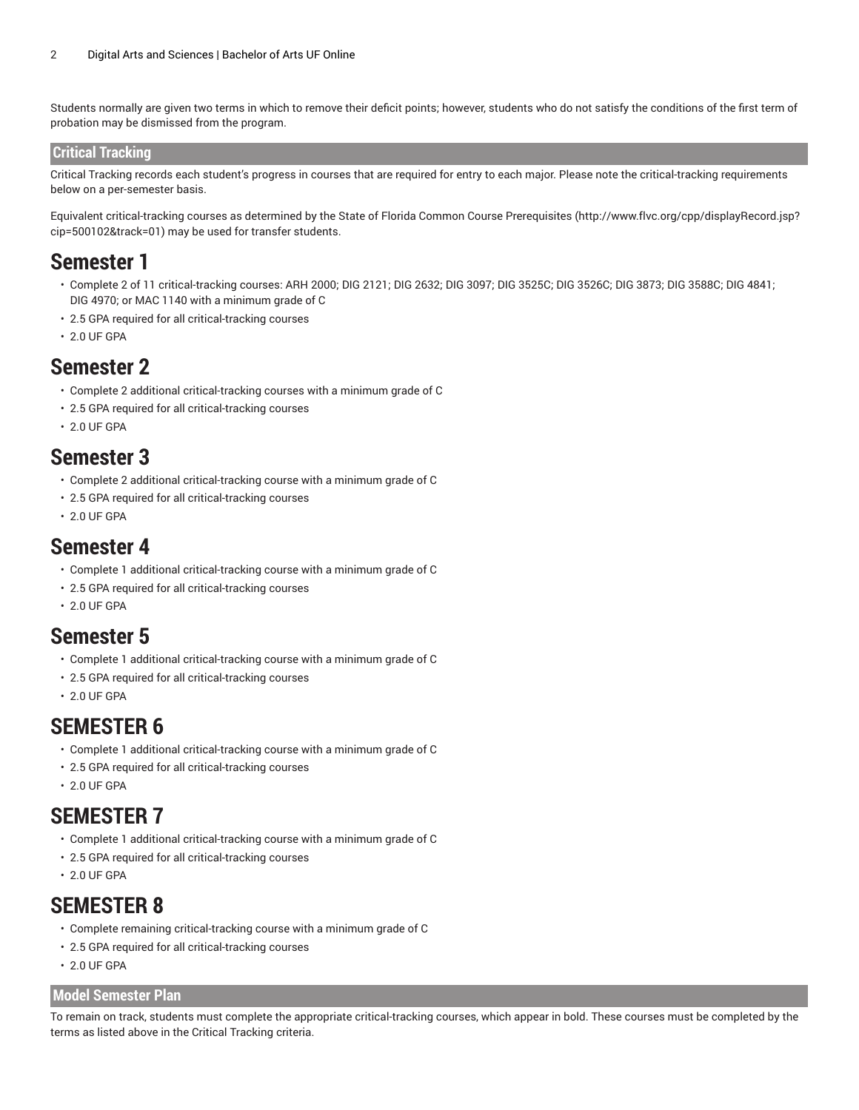Students normally are given two terms in which to remove their deficit points; however, students who do not satisfy the conditions of the first term of probation may be dismissed from the program.

#### **Critical Tracking**

Critical Tracking records each student's progress in courses that are required for entry to each major. Please note the critical-tracking requirements below on a per-semester basis.

Equivalent critical-tracking courses as determined by the State of Florida Common Course [Prerequisites](http://www.flvc.org/cpp/displayRecord.jsp?cip=500102&track=01) ([http://www.flvc.org/cpp/displayRecord.jsp?](http://www.flvc.org/cpp/displayRecord.jsp?cip=500102&track=01) [cip=500102&track=01\)](http://www.flvc.org/cpp/displayRecord.jsp?cip=500102&track=01) may be used for transfer students.

# **Semester 1**

- Complete 2 of 11 critical-tracking courses: ARH 2000; DIG 2121; DIG 2632; DIG 3097; DIG 3525C; DIG 3526C; DIG 3873; DIG 3588C; DIG 4841; DIG 4970; or MAC 1140 with a minimum grade of C
- 2.5 GPA required for all critical-tracking courses
- 2.0 UF GPA

### **Semester 2**

- Complete 2 additional critical-tracking courses with a minimum grade of C
- 2.5 GPA required for all critical-tracking courses
- 2.0 UF GPA

### **Semester 3**

- Complete 2 additional critical-tracking course with a minimum grade of C
- 2.5 GPA required for all critical-tracking courses
- 2.0 UF GPA

### **Semester 4**

- Complete 1 additional critical-tracking course with a minimum grade of C
- 2.5 GPA required for all critical-tracking courses
- 2.0 UF GPA

### **Semester 5**

- Complete 1 additional critical-tracking course with a minimum grade of C
- 2.5 GPA required for all critical-tracking courses
- 2.0 UF GPA

### **SEMESTER 6**

- Complete 1 additional critical-tracking course with a minimum grade of C
- 2.5 GPA required for all critical-tracking courses
- 2.0 UF GPA

## **SEMESTER 7**

- Complete 1 additional critical-tracking course with a minimum grade of C
- 2.5 GPA required for all critical-tracking courses
- 2.0 UF GPA

### **SEMESTER 8**

- Complete remaining critical-tracking course with a minimum grade of C
- 2.5 GPA required for all critical-tracking courses
- 2.0 UF GPA

#### **Model Semester Plan**

To remain on track, students must complete the appropriate critical-tracking courses, which appear in bold. These courses must be completed by the terms as listed above in the Critical Tracking criteria.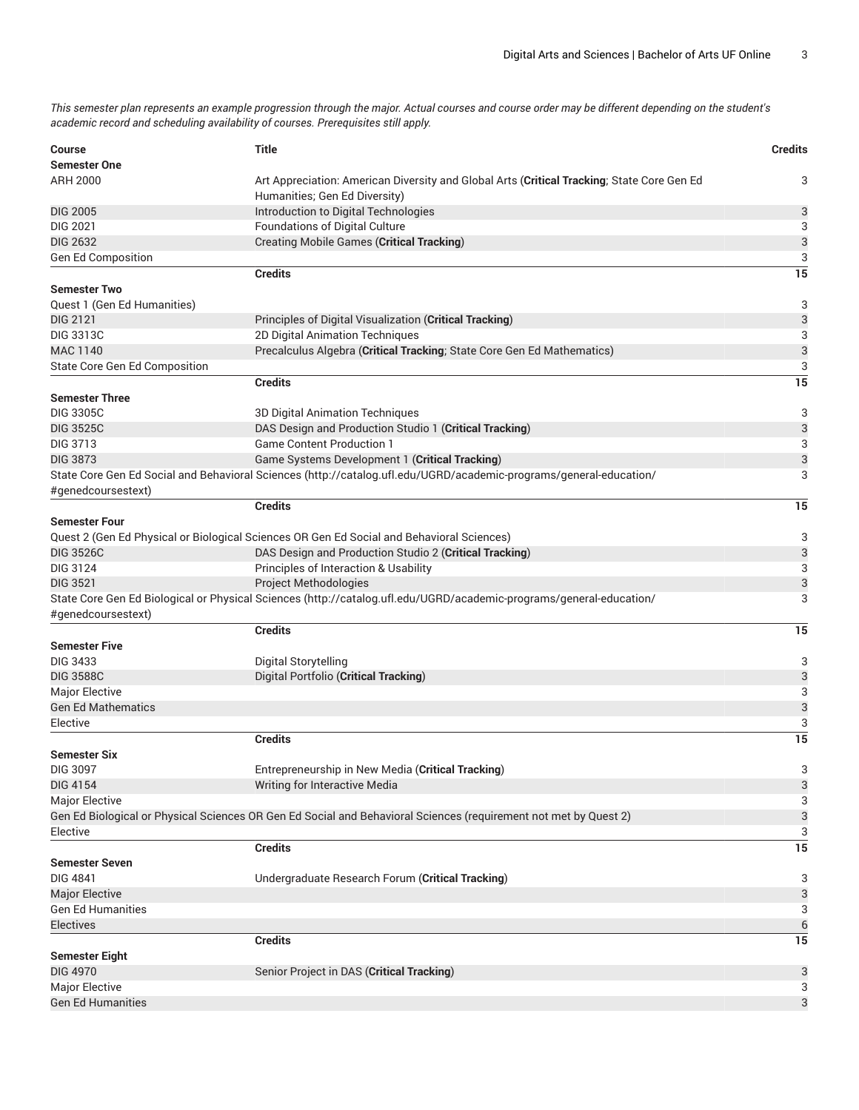This semester plan represents an example progression through the major. Actual courses and course order may be different depending on the student's *academic record and scheduling availability of courses. Prerequisites still apply.*

| <b>Course</b><br><b>Semester One</b> | <b>Title</b>                                                                                                                | <b>Credits</b>   |  |  |  |
|--------------------------------------|-----------------------------------------------------------------------------------------------------------------------------|------------------|--|--|--|
| <b>ARH 2000</b>                      | Art Appreciation: American Diversity and Global Arts (Critical Tracking; State Core Gen Ed<br>Humanities; Gen Ed Diversity) |                  |  |  |  |
| <b>DIG 2005</b>                      | Introduction to Digital Technologies                                                                                        | 3                |  |  |  |
| <b>DIG 2021</b>                      | Foundations of Digital Culture                                                                                              | 3                |  |  |  |
| <b>DIG 2632</b>                      | <b>Creating Mobile Games (Critical Tracking)</b>                                                                            | 3                |  |  |  |
| <b>Gen Ed Composition</b>            |                                                                                                                             |                  |  |  |  |
|                                      |                                                                                                                             | 3                |  |  |  |
| <b>Semester Two</b>                  | <b>Credits</b>                                                                                                              | 15               |  |  |  |
|                                      |                                                                                                                             | 3                |  |  |  |
| Quest 1 (Gen Ed Humanities)          |                                                                                                                             |                  |  |  |  |
| <b>DIG 2121</b>                      | Principles of Digital Visualization (Critical Tracking)                                                                     | 3                |  |  |  |
| <b>DIG 3313C</b>                     | 2D Digital Animation Techniques                                                                                             | 3                |  |  |  |
| MAC 1140                             | Precalculus Algebra (Critical Tracking; State Core Gen Ed Mathematics)                                                      | $\mathbf{3}$     |  |  |  |
| <b>State Core Gen Ed Composition</b> |                                                                                                                             | 3                |  |  |  |
|                                      | <b>Credits</b>                                                                                                              | 15               |  |  |  |
| <b>Semester Three</b>                |                                                                                                                             |                  |  |  |  |
| <b>DIG 3305C</b>                     | 3D Digital Animation Techniques                                                                                             | 3                |  |  |  |
| <b>DIG 3525C</b>                     | DAS Design and Production Studio 1 (Critical Tracking)                                                                      | 3                |  |  |  |
| DIG 3713                             | <b>Game Content Production 1</b>                                                                                            | $\,$ 3           |  |  |  |
| <b>DIG 3873</b>                      | Game Systems Development 1 (Critical Tracking)                                                                              | 3                |  |  |  |
|                                      | State Core Gen Ed Social and Behavioral Sciences (http://catalog.ufl.edu/UGRD/academic-programs/general-education/          | 3                |  |  |  |
| #genedcoursestext)                   |                                                                                                                             |                  |  |  |  |
|                                      | <b>Credits</b>                                                                                                              | 15               |  |  |  |
| <b>Semester Four</b>                 |                                                                                                                             |                  |  |  |  |
|                                      | Quest 2 (Gen Ed Physical or Biological Sciences OR Gen Ed Social and Behavioral Sciences)                                   | 3                |  |  |  |
| <b>DIG 3526C</b>                     | DAS Design and Production Studio 2 (Critical Tracking)                                                                      | 3                |  |  |  |
| DIG 3124                             | Principles of Interaction & Usability                                                                                       | 3                |  |  |  |
| <b>DIG 3521</b>                      | <b>Project Methodologies</b>                                                                                                | 3                |  |  |  |
|                                      | State Core Gen Ed Biological or Physical Sciences (http://catalog.ufl.edu/UGRD/academic-programs/general-education/         | 3                |  |  |  |
| #genedcoursestext)                   |                                                                                                                             |                  |  |  |  |
|                                      | <b>Credits</b>                                                                                                              | 15               |  |  |  |
| <b>Semester Five</b>                 |                                                                                                                             |                  |  |  |  |
| DIG 3433                             | Digital Storytelling                                                                                                        | 3                |  |  |  |
| <b>DIG 3588C</b>                     | Digital Portfolio (Critical Tracking)                                                                                       | 3                |  |  |  |
| <b>Major Elective</b>                |                                                                                                                             | 3                |  |  |  |
| <b>Gen Ed Mathematics</b>            |                                                                                                                             | 3                |  |  |  |
| Elective                             |                                                                                                                             | 3                |  |  |  |
|                                      | <b>Credits</b>                                                                                                              | 15               |  |  |  |
| <b>Semester Six</b>                  |                                                                                                                             |                  |  |  |  |
| <b>DIG 3097</b>                      |                                                                                                                             |                  |  |  |  |
| <b>DIG 4154</b>                      | Entrepreneurship in New Media (Critical Tracking)<br>Writing for Interactive Media                                          | 3                |  |  |  |
|                                      |                                                                                                                             | 3                |  |  |  |
| <b>Major Elective</b>                |                                                                                                                             | 3                |  |  |  |
|                                      | Gen Ed Biological or Physical Sciences OR Gen Ed Social and Behavioral Sciences (requirement not met by Quest 2)            | 3                |  |  |  |
| Elective                             |                                                                                                                             | 3                |  |  |  |
|                                      | <b>Credits</b>                                                                                                              | 15               |  |  |  |
| <b>Semester Seven</b>                |                                                                                                                             |                  |  |  |  |
| <b>DIG 4841</b>                      | Undergraduate Research Forum (Critical Tracking)                                                                            | 3                |  |  |  |
| <b>Major Elective</b>                |                                                                                                                             | 3                |  |  |  |
| <b>Gen Ed Humanities</b>             |                                                                                                                             | 3                |  |  |  |
| Electives                            |                                                                                                                             | $\boldsymbol{6}$ |  |  |  |
|                                      | <b>Credits</b>                                                                                                              | 15               |  |  |  |
| <b>Semester Eight</b>                |                                                                                                                             |                  |  |  |  |
| <b>DIG 4970</b>                      | Senior Project in DAS (Critical Tracking)                                                                                   | 3                |  |  |  |
| <b>Major Elective</b>                |                                                                                                                             | 3                |  |  |  |
| <b>Gen Ed Humanities</b>             |                                                                                                                             | $\mathbf{3}$     |  |  |  |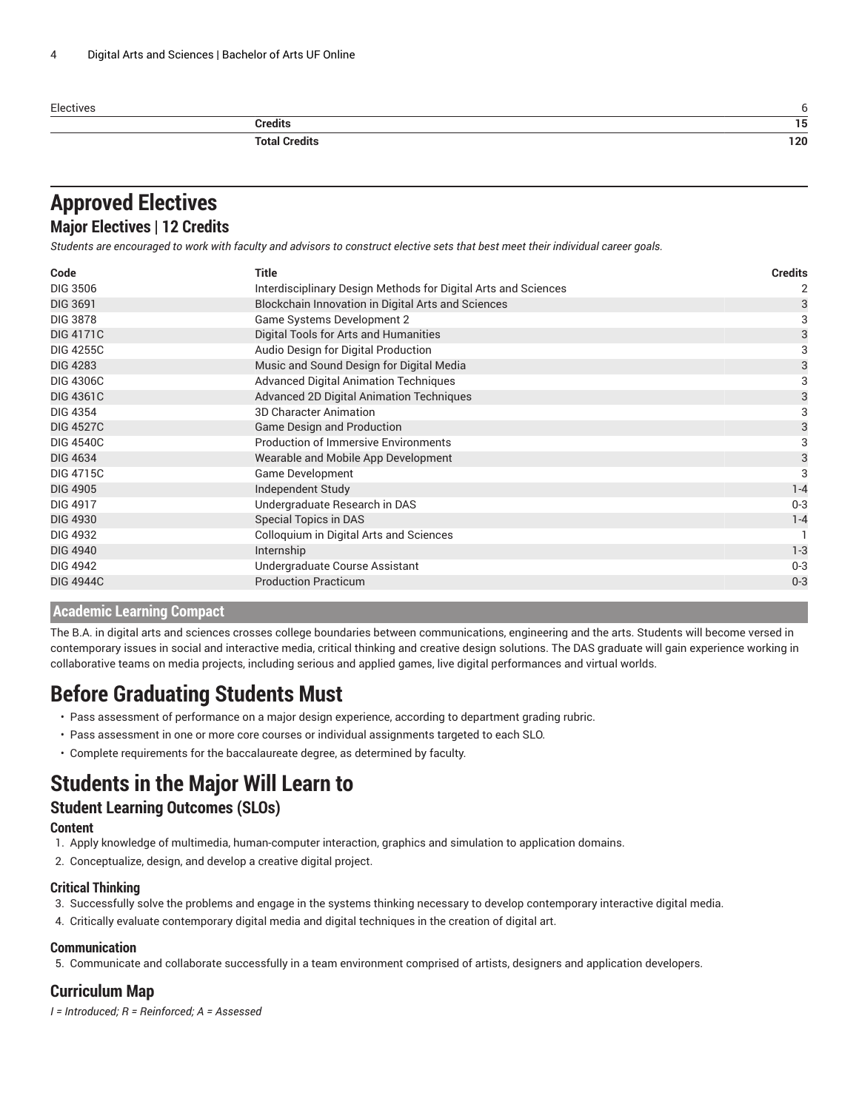**Approved Electives**

| Electives          |                      |
|--------------------|----------------------|
| <b>Credits</b>     | $\sim$ $\sim$<br>. ხ |
| Total Credits<br>. | 120                  |

| <b>Major Electives   12 Credits</b> |                                                                                                                                    |                |
|-------------------------------------|------------------------------------------------------------------------------------------------------------------------------------|----------------|
|                                     | Students are encouraged to work with faculty and advisors to construct elective sets that best meet their individual career goals. |                |
| Code                                | <b>Title</b>                                                                                                                       | <b>Credits</b> |
| <b>DIG 3506</b>                     | Interdisciplinary Design Methods for Digital Arts and Sciences                                                                     | 2              |
| <b>DIG 3691</b>                     | Blockchain Innovation in Digital Arts and Sciences                                                                                 | 3              |
| <b>DIG 3878</b>                     | <b>Game Systems Development 2</b>                                                                                                  | 3              |
| <b>DIG 4171C</b>                    | Digital Tools for Arts and Humanities                                                                                              | 3              |
| <b>DIG 4255C</b>                    | Audio Design for Digital Production                                                                                                | $\overline{3}$ |
| <b>DIG 4283</b>                     | Music and Sound Design for Digital Media                                                                                           | 3              |
| <b>DIG 4306C</b>                    | <b>Advanced Digital Animation Techniques</b>                                                                                       | 3              |
| <b>DIG 4361C</b>                    | Advanced 2D Digital Animation Techniques                                                                                           | $\overline{3}$ |
| <b>DIG 4354</b>                     | <b>3D Character Animation</b>                                                                                                      | $\overline{3}$ |
| <b>DIG 4527C</b>                    | <b>Game Design and Production</b>                                                                                                  | 3              |
| <b>DIG 4540C</b>                    | <b>Production of Immersive Environments</b>                                                                                        | $\overline{3}$ |
| <b>DIG 4634</b>                     | Wearable and Mobile App Development                                                                                                | 3              |
| <b>DIG 4715C</b>                    | <b>Game Development</b>                                                                                                            | 3              |
| <b>DIG 4905</b>                     | Independent Study                                                                                                                  | $1 - 4$        |
| <b>DIG 4917</b>                     | Undergraduate Research in DAS                                                                                                      | $0 - 3$        |
| <b>DIG 4930</b>                     | <b>Special Topics in DAS</b>                                                                                                       | $1 - 4$        |
| <b>DIG 4932</b>                     | Colloquium in Digital Arts and Sciences                                                                                            |                |
| <b>DIG 4940</b>                     | Internship                                                                                                                         | $1 - 3$        |
| <b>DIG 4942</b>                     | Undergraduate Course Assistant                                                                                                     | $0 - 3$        |
| <b>DIG 4944C</b>                    | <b>Production Practicum</b>                                                                                                        | $0 - 3$        |

#### **Academic Learning Compact**

The B.A. in digital arts and sciences crosses college boundaries between communications, engineering and the arts. Students will become versed in contemporary issues in social and interactive media, critical thinking and creative design solutions. The DAS graduate will gain experience working in collaborative teams on media projects, including serious and applied games, live digital performances and virtual worlds.

# **Before Graduating Students Must**

- Pass assessment of performance on a major design experience, according to department grading rubric.
- Pass assessment in one or more core courses or individual assignments targeted to each SLO.
- Complete requirements for the baccalaureate degree, as determined by faculty.

# **Students in the Major Will Learn to**

#### **Student Learning Outcomes (SLOs)**

### **Content**

- 1. Apply knowledge of multimedia, human-computer interaction, graphics and simulation to application domains.
- 2. Conceptualize, design, and develop a creative digital project.

### **Critical Thinking**

- 3. Successfully solve the problems and engage in the systems thinking necessary to develop contemporary interactive digital media.
- 4. Critically evaluate contemporary digital media and digital techniques in the creation of digital art.

### **Communication**

5. Communicate and collaborate successfully in a team environment comprised of artists, designers and application developers.

### **Curriculum Map**

*I = Introduced; R = Reinforced; A = Assessed*